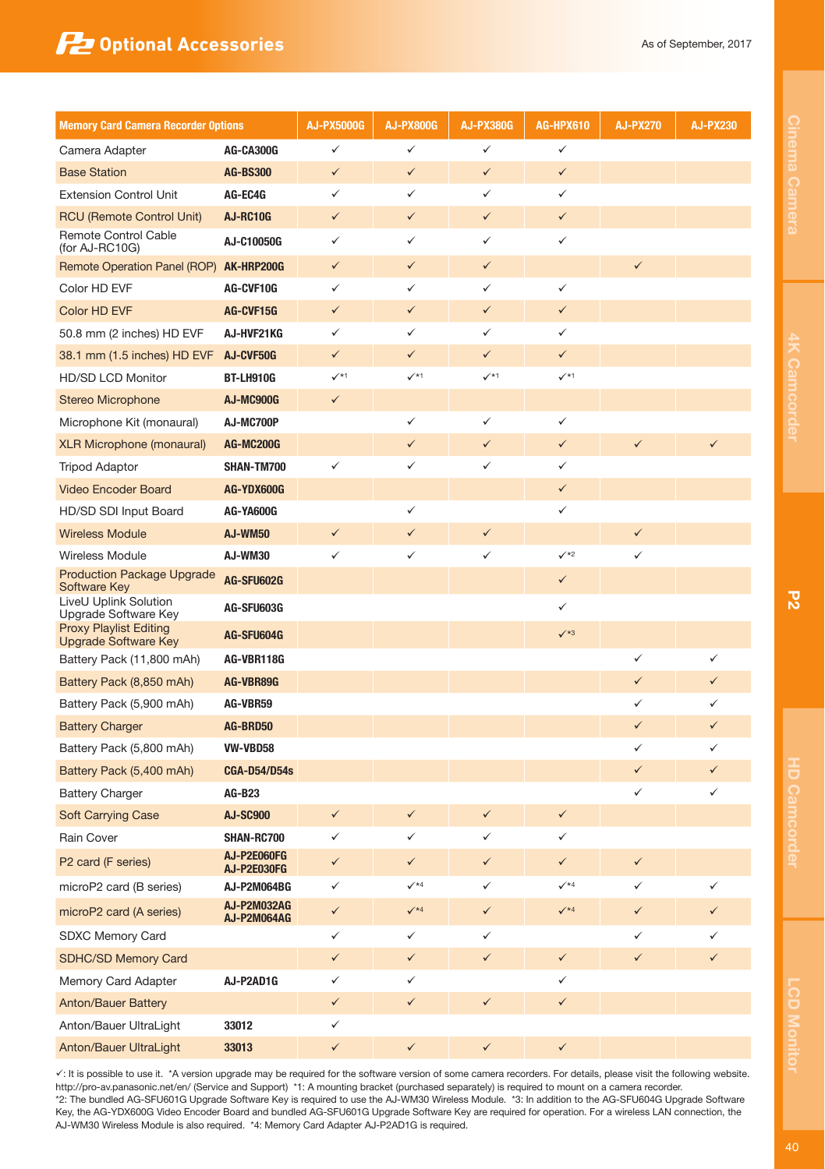## **12 Optional Accessories** As of September, 2017

| <b>Memory Card Camera Recorder Options</b>                   |                            | AJ-PX5000G   | <b>AJ-PX800G</b>           | <b>AJ-PX380G</b>  | <b>AG-HPX610</b>           | <b>AJ-PX270</b> | <b>AJ-PX230</b> |
|--------------------------------------------------------------|----------------------------|--------------|----------------------------|-------------------|----------------------------|-----------------|-----------------|
| Camera Adapter                                               | AG-CA300G                  | ✓            | ✓                          | ✓                 | $\checkmark$               |                 |                 |
| <b>Base Station</b>                                          | <b>AG-BS300</b>            | $\checkmark$ | ✓                          | $\checkmark$      | $\checkmark$               |                 |                 |
| <b>Extension Control Unit</b>                                | AG-EC4G                    | $\checkmark$ | ✓                          | ✓                 | $\checkmark$               |                 |                 |
| <b>RCU (Remote Control Unit)</b>                             | AJ-RC10G                   | $\checkmark$ | ✓                          | $\checkmark$      | $\checkmark$               |                 |                 |
| Remote Control Cable<br>(for AJ-RC10G)                       | AJ-C10050G                 | ✓            | ✓                          | ✓                 | $\checkmark$               |                 |                 |
| Remote Operation Panel (ROP)                                 | AK-HRP200G                 | ✓            | ✓                          | $\checkmark$      |                            | ✓               |                 |
| Color HD EVF                                                 | AG-CVF10G                  | ✓            | ✓                          | ✓                 | ✓                          |                 |                 |
| Color HD EVF                                                 | AG-CVF15G                  | $\checkmark$ | $\checkmark$               | $\checkmark$      | $\checkmark$               |                 |                 |
| 50.8 mm (2 inches) HD EVF                                    | AJ-HVF21KG                 | ✓            | ✓                          | ✓                 | ✓                          |                 |                 |
| 38.1 mm (1.5 inches) HD EVF                                  | AJ-CVF50G                  | $\checkmark$ | ✓                          | $\checkmark$      | $\checkmark$               |                 |                 |
| HD/SD LCD Monitor                                            | BT-LH910G                  | $\checkmark$ | $\checkmark$ <sup>*1</sup> | $\checkmark^{*1}$ | $\checkmark^{\star}$       |                 |                 |
| <b>Stereo Microphone</b>                                     | AJ-MC900G                  | $\checkmark$ |                            |                   |                            |                 |                 |
| Microphone Kit (monaural)                                    | AJ-MC700P                  |              | ✓                          | ✓                 | $\checkmark$               |                 |                 |
| <b>XLR Microphone (monaural)</b>                             | <b>AG-MC200G</b>           |              | ✓                          | $\checkmark$      | $\checkmark$               | ✓               |                 |
| <b>Tripod Adaptor</b>                                        | SHAN-TM700                 | $\checkmark$ | ✓                          | ✓                 | ✓                          |                 |                 |
| <b>Video Encoder Board</b>                                   | AG-YDX600G                 |              |                            |                   | $\checkmark$               |                 |                 |
| HD/SD SDI Input Board                                        | AG-YA600G                  |              | ✓                          |                   | ✓                          |                 |                 |
| <b>Wireless Module</b>                                       | <b>AJ-WM50</b>             | $\checkmark$ | $\checkmark$               | $\checkmark$      |                            | ✓               |                 |
| Wireless Module                                              | AJ-WM30                    | ✓            | ✓                          | ✓                 | $\checkmark$ <sup>*2</sup> | ✓               |                 |
| <b>Production Package Upgrade</b><br>Software Key            | AG-SFU602G                 |              |                            |                   | $\checkmark$               |                 |                 |
| LiveU Uplink Solution<br>Upgrade Software Key                | AG-SFU603G                 |              |                            |                   | ✓                          |                 |                 |
| <b>Proxy Playlist Editing</b><br><b>Upgrade Software Key</b> | AG-SFU604G                 |              |                            |                   | $\checkmark$ *3            |                 |                 |
| Battery Pack (11,800 mAh)                                    | AG-VBR118G                 |              |                            |                   |                            | ✓               | ✓               |
| Battery Pack (8,850 mAh)                                     | AG-VBR89G                  |              |                            |                   |                            | ✓               | ✓               |
| Battery Pack (5,900 mAh)                                     | AG-VBR59                   |              |                            |                   |                            | $\checkmark$    | ✓               |
| <b>Battery Charger</b>                                       | AG-BRD50                   |              |                            |                   |                            | ✓               | $\checkmark$    |
| Battery Pack (5,800 mAh)                                     | VW-VBD58                   |              |                            |                   |                            | ✓               | ✓               |
| Battery Pack (5,400 mAh)                                     | <b>CGA-D54/D54s</b>        |              |                            |                   |                            |                 | ✓               |
| <b>Battery Charger</b>                                       | <b>AG-B23</b>              |              |                            |                   |                            | ✓               | ✓               |
| <b>Soft Carrying Case</b>                                    | <b>AJ-SC900</b>            | $\checkmark$ | ✓                          | $\checkmark$      | $\checkmark$               |                 |                 |
| Rain Cover                                                   | SHAN-RC700                 | ✓            | ✓                          | ✓                 | ✓                          |                 |                 |
| P2 card (F series)                                           | AJ-P2E060FG<br>AJ-P2E030FG | ✓            | ✓                          | ✓                 | ✓                          | ✓               |                 |
| microP2 card (B series)                                      | AJ-P2M064BG                | ✓            | $\checkmark$ <sup>*4</sup> | $\checkmark$      | $\mathcal{I}$ *4           | $\checkmark$    | $\checkmark$    |
| microP2 card (A series)                                      | AJ-P2M032AG<br>AJ-P2M064AG | $\checkmark$ | $\checkmark$               | $\checkmark$      | $\checkmark$ <sup>*4</sup> | ✓               | ✓               |
| SDXC Memory Card                                             |                            | ✓            | ✓                          | ✓                 |                            | ✓               |                 |
| SDHC/SD Memory Card                                          |                            | $\checkmark$ | ✓                          |                   | $\checkmark$               |                 |                 |
| Memory Card Adapter                                          | AJ-P2AD1G                  | $\checkmark$ | ✓                          |                   | ✓                          |                 |                 |
| <b>Anton/Bauer Battery</b>                                   |                            | $\checkmark$ | $\checkmark$               | $\checkmark$      | $\checkmark$               |                 |                 |
| Anton/Bauer UltraLight                                       | 33012                      | ✓            |                            |                   |                            |                 |                 |
| Anton/Bauer UltraLight                                       | 33013                      | $\checkmark$ | $\checkmark$               | $\checkmark$      | $\checkmark$               |                 |                 |

v: It is possible to use it. \*A version upgrade may be required for the software version of some camera recorders. For details, please visit the following website. http://pro-av.panasonic.net/en/ (Service and Support) \*1: A mounting bracket (purchased separately) is required to mount on a camera recorder. \*2: The bundled AG-SFU601G Upgrade Software Key is required to use the AJ-WM30 Wireless Module. \*3: In addition to the AG-SFU604G Upgrade Software Key, the AG-YDX600G Video Encoder Board and bundled AG-SFU601G Upgrade Software Key are required for operation. For a wireless LAN connection, the AJ-WM30 Wireless Module is also required. \*4: Memory Card Adapter AJ-P2AD1G is required.